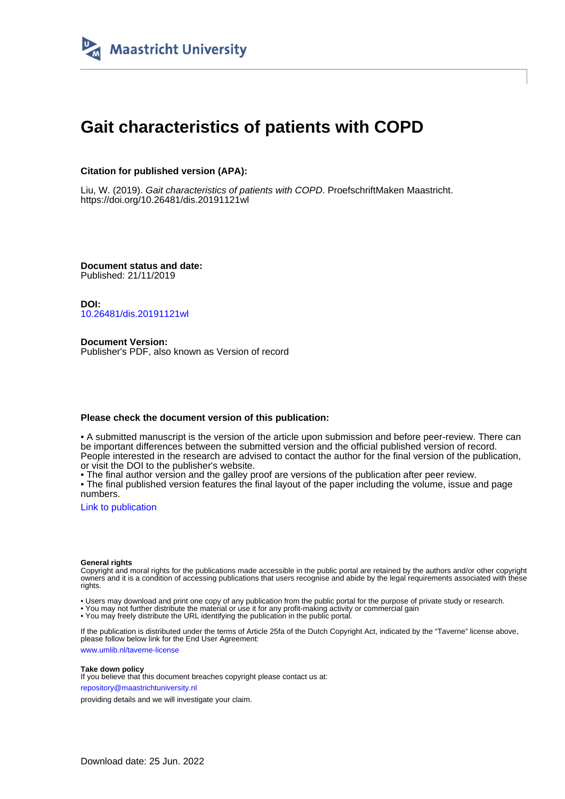

# **Gait characteristics of patients with COPD**

## **Citation for published version (APA):**

Liu, W. (2019). Gait characteristics of patients with COPD. ProefschriftMaken Maastricht. <https://doi.org/10.26481/dis.20191121wl>

**Document status and date:** Published: 21/11/2019

**DOI:** [10.26481/dis.20191121wl](https://doi.org/10.26481/dis.20191121wl)

**Document Version:** Publisher's PDF, also known as Version of record

### **Please check the document version of this publication:**

• A submitted manuscript is the version of the article upon submission and before peer-review. There can be important differences between the submitted version and the official published version of record. People interested in the research are advised to contact the author for the final version of the publication, or visit the DOI to the publisher's website.

• The final author version and the galley proof are versions of the publication after peer review.

• The final published version features the final layout of the paper including the volume, issue and page numbers.

[Link to publication](https://cris.maastrichtuniversity.nl/en/publications/a1719ea8-c4e4-4a83-8bbe-84bb2db7c1f8)

#### **General rights**

Copyright and moral rights for the publications made accessible in the public portal are retained by the authors and/or other copyright owners and it is a condition of accessing publications that users recognise and abide by the legal requirements associated with these rights.

• Users may download and print one copy of any publication from the public portal for the purpose of private study or research.

• You may not further distribute the material or use it for any profit-making activity or commercial gain

• You may freely distribute the URL identifying the publication in the public portal.

If the publication is distributed under the terms of Article 25fa of the Dutch Copyright Act, indicated by the "Taverne" license above, please follow below link for the End User Agreement:

www.umlib.nl/taverne-license

#### **Take down policy**

If you believe that this document breaches copyright please contact us at: repository@maastrichtuniversity.nl

providing details and we will investigate your claim.